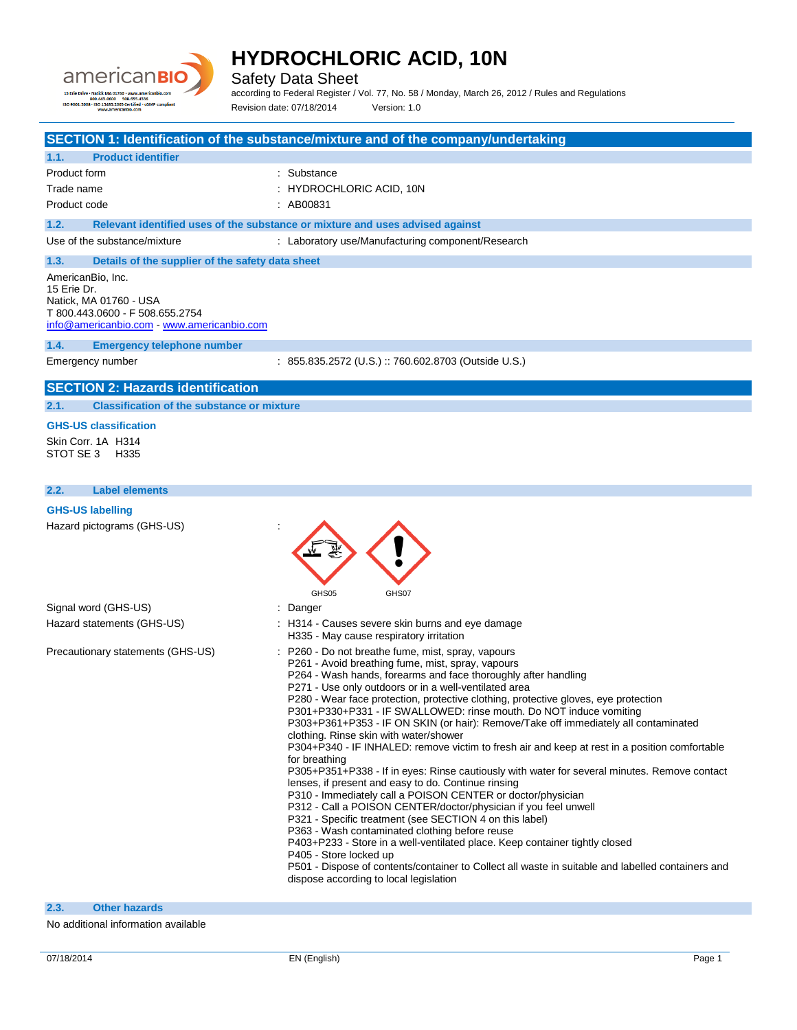

Safety Data Sheet

according to Federal Register / Vol. 77, No. 58 / Monday, March 26, 2012 / Rules and Regulations Revision date: 07/18/2014 Version: 1.0

|                                                           | SECTION 1: Identification of the substance/mixture and of the company/undertaking                                                                         |
|-----------------------------------------------------------|-----------------------------------------------------------------------------------------------------------------------------------------------------------|
| <b>Product identifier</b><br>1.1.                         |                                                                                                                                                           |
| <b>Product form</b>                                       | : Substance                                                                                                                                               |
| Trade name                                                | : HYDROCHLORIC ACID, 10N                                                                                                                                  |
| Product code                                              | : AB00831                                                                                                                                                 |
| 1.2.                                                      | Relevant identified uses of the substance or mixture and uses advised against                                                                             |
| Use of the substance/mixture                              | : Laboratory use/Manufacturing component/Research                                                                                                         |
| 1.3.<br>Details of the supplier of the safety data sheet  |                                                                                                                                                           |
| AmericanBio, Inc.<br>15 Erie Dr.                          |                                                                                                                                                           |
| Natick, MA 01760 - USA                                    |                                                                                                                                                           |
| T 800.443.0600 - F 508.655.2754                           |                                                                                                                                                           |
| info@americanbio.com www.americanbio.com                  |                                                                                                                                                           |
| 1.4.<br><b>Emergency telephone number</b>                 |                                                                                                                                                           |
| Emergency number                                          | : 855.835.2572 (U.S.) :: 760.602.8703 (Outside U.S.)                                                                                                      |
| <b>SECTION 2: Hazards identification</b>                  |                                                                                                                                                           |
| 2.1.<br><b>Classification of the substance or mixture</b> |                                                                                                                                                           |
| <b>GHS-US classification</b>                              |                                                                                                                                                           |
| Skin Corr. 1A H314                                        |                                                                                                                                                           |
| STOT SE 3<br>H335                                         |                                                                                                                                                           |
|                                                           |                                                                                                                                                           |
| 2.2.<br><b>Label elements</b>                             |                                                                                                                                                           |
| <b>GHS-US labelling</b>                                   |                                                                                                                                                           |
|                                                           | GHS05<br>GHS07                                                                                                                                            |
| Signal word (GHS-US)                                      | : Danger                                                                                                                                                  |
| Hazard statements (GHS-US)                                | : H314 - Causes severe skin burns and eye damage<br>H335 - May cause respiratory irritation                                                               |
| Precautionary statements (GHS-US)                         | P260 - Do not breathe fume, mist, spray, vapours                                                                                                          |
|                                                           | P261 - Avoid breathing fume, mist, spray, vapours<br>P264 - Wash hands, forearms and face thoroughly after handling                                       |
|                                                           | P271 - Use only outdoors or in a well-ventilated area                                                                                                     |
|                                                           | P280 - Wear face protection, protective clothing, protective gloves, eye protection                                                                       |
|                                                           | P301+P330+P331 - IF SWALLOWED: rinse mouth. Do NOT induce vomiting<br>P303+P361+P353 - IF ON SKIN (or hair): Remove/Take off immediately all contaminated |
|                                                           | clothing. Rinse skin with water/shower                                                                                                                    |
|                                                           | P304+P340 - IF INHALED: remove victim to fresh air and keep at rest in a position comfortable                                                             |
|                                                           | for breathing<br>P305+P351+P338 - If in eyes: Rinse cautiously with water for several minutes. Remove contact                                             |
|                                                           | lenses, if present and easy to do. Continue rinsing                                                                                                       |
|                                                           | P310 - Immediately call a POISON CENTER or doctor/physician                                                                                               |
|                                                           | P312 - Call a POISON CENTER/doctor/physician if you feel unwell                                                                                           |
|                                                           | P321 - Specific treatment (see SECTION 4 on this label)<br>P363 - Wash contaminated clothing before reuse                                                 |
|                                                           | P403+P233 - Store in a well-ventilated place. Keep container tightly closed                                                                               |
|                                                           | P405 - Store locked up                                                                                                                                    |
|                                                           | P501 - Dispose of contents/container to Collect all waste in suitable and labelled containers and<br>dispose according to local legislation               |
|                                                           |                                                                                                                                                           |
| 2.3.<br><b>Other hazards</b>                              |                                                                                                                                                           |

No additional information available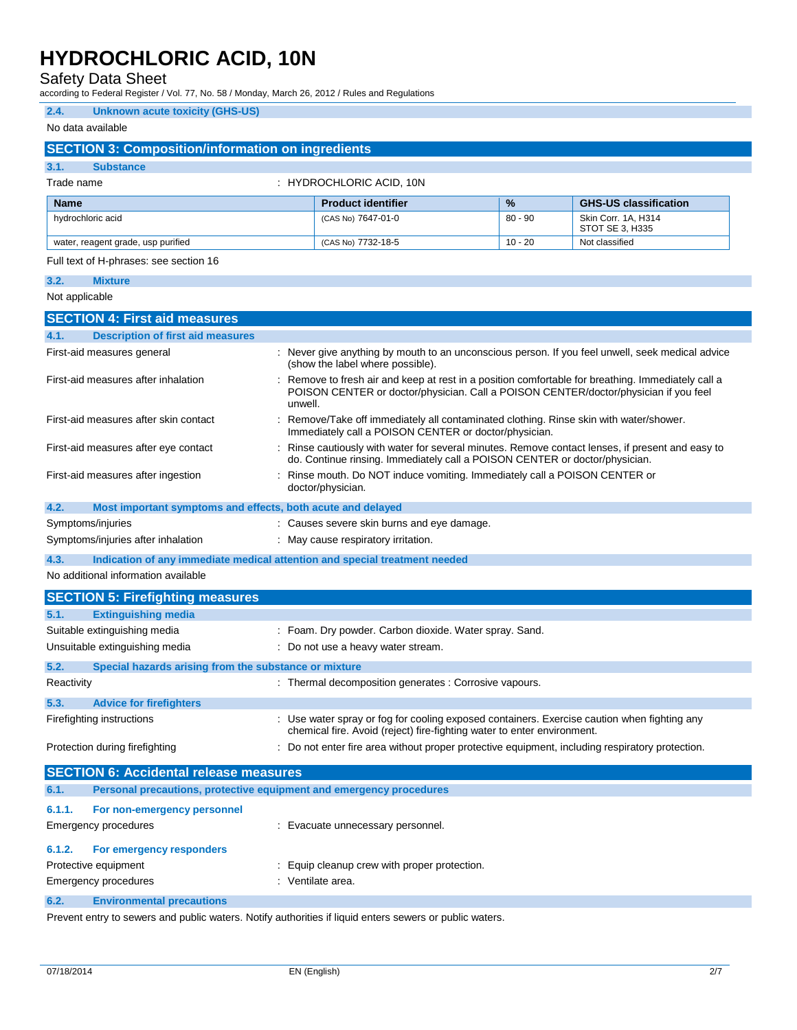Safety Data Sheet

according to Federal Register / Vol. 77, No. 58 / Monday, March 26, 2012 / Rules and Regulations

#### **2.4. Unknown acute toxicity (GHS-US)**

| No data available           |                                                                            |         |                                                                                                                                                                                          |           |                                        |
|-----------------------------|----------------------------------------------------------------------------|---------|------------------------------------------------------------------------------------------------------------------------------------------------------------------------------------------|-----------|----------------------------------------|
|                             | <b>SECTION 3: Composition/information on ingredients</b>                   |         |                                                                                                                                                                                          |           |                                        |
| 3.1.                        | <b>Substance</b>                                                           |         |                                                                                                                                                                                          |           |                                        |
| Trade name                  |                                                                            |         | : HYDROCHLORIC ACID, 10N                                                                                                                                                                 |           |                                        |
| <b>Name</b>                 |                                                                            |         | <b>Product identifier</b>                                                                                                                                                                | %         | <b>GHS-US classification</b>           |
| hydrochloric acid           |                                                                            |         | (CAS No) 7647-01-0                                                                                                                                                                       | $80 - 90$ | Skin Corr. 1A, H314<br>STOT SE 3, H335 |
|                             | water, reagent grade, usp purified                                         |         | (CAS No) 7732-18-5                                                                                                                                                                       | $10 - 20$ | Not classified                         |
|                             | Full text of H-phrases: see section 16                                     |         |                                                                                                                                                                                          |           |                                        |
| 3.2.                        | <b>Mixture</b>                                                             |         |                                                                                                                                                                                          |           |                                        |
| Not applicable              |                                                                            |         |                                                                                                                                                                                          |           |                                        |
|                             | <b>SECTION 4: First aid measures</b>                                       |         |                                                                                                                                                                                          |           |                                        |
| 4.1.                        | <b>Description of first aid measures</b>                                   |         |                                                                                                                                                                                          |           |                                        |
|                             | First-aid measures general                                                 |         | : Never give anything by mouth to an unconscious person. If you feel unwell, seek medical advice<br>(show the label where possible).                                                     |           |                                        |
|                             | First-aid measures after inhalation                                        | unwell. | Remove to fresh air and keep at rest in a position comfortable for breathing. Immediately call a<br>POISON CENTER or doctor/physician. Call a POISON CENTER/doctor/physician if you feel |           |                                        |
|                             | First-aid measures after skin contact                                      |         | Remove/Take off immediately all contaminated clothing. Rinse skin with water/shower.<br>Immediately call a POISON CENTER or doctor/physician.                                            |           |                                        |
|                             | First-aid measures after eye contact                                       |         | : Rinse cautiously with water for several minutes. Remove contact lenses, if present and easy to<br>do. Continue rinsing. Immediately call a POISON CENTER or doctor/physician.          |           |                                        |
|                             | First-aid measures after ingestion                                         |         | : Rinse mouth. Do NOT induce vomiting. Immediately call a POISON CENTER or<br>doctor/physician.                                                                                          |           |                                        |
| 4.2.                        | Most important symptoms and effects, both acute and delayed                |         |                                                                                                                                                                                          |           |                                        |
| Symptoms/injuries           |                                                                            |         | : Causes severe skin burns and eye damage.                                                                                                                                               |           |                                        |
|                             | Symptoms/injuries after inhalation                                         |         | : May cause respiratory irritation.                                                                                                                                                      |           |                                        |
| 4.3.                        | Indication of any immediate medical attention and special treatment needed |         |                                                                                                                                                                                          |           |                                        |
|                             | No additional information available                                        |         |                                                                                                                                                                                          |           |                                        |
|                             | <b>SECTION 5: Firefighting measures</b>                                    |         |                                                                                                                                                                                          |           |                                        |
| 5.1.                        | <b>Extinguishing media</b>                                                 |         |                                                                                                                                                                                          |           |                                        |
|                             | Suitable extinguishing media                                               |         | : Foam. Dry powder. Carbon dioxide. Water spray. Sand.                                                                                                                                   |           |                                        |
|                             | Unsuitable extinguishing media                                             |         | Do not use a heavy water stream.                                                                                                                                                         |           |                                        |
| 5.2.                        | Special hazards arising from the substance or mixture                      |         |                                                                                                                                                                                          |           |                                        |
| Reactivity                  |                                                                            |         | : Thermal decomposition generates : Corrosive vapours.                                                                                                                                   |           |                                        |
| 5.3.                        | <b>Advice for firefighters</b>                                             |         |                                                                                                                                                                                          |           |                                        |
| Firefighting instructions   |                                                                            |         | : Use water spray or fog for cooling exposed containers. Exercise caution when fighting any<br>chemical fire. Avoid (reject) fire-fighting water to enter environment.                   |           |                                        |
|                             | Protection during firefighting                                             |         | : Do not enter fire area without proper protective equipment, including respiratory protection.                                                                                          |           |                                        |
|                             | <b>SECTION 6: Accidental release measures</b>                              |         |                                                                                                                                                                                          |           |                                        |
| 6.1.                        | Personal precautions, protective equipment and emergency procedures        |         |                                                                                                                                                                                          |           |                                        |
| 6.1.1.                      | For non-emergency personnel                                                |         |                                                                                                                                                                                          |           |                                        |
| <b>Emergency procedures</b> |                                                                            |         | : Evacuate unnecessary personnel.                                                                                                                                                        |           |                                        |

| 6.1.2. For emergency responders |                                              |
|---------------------------------|----------------------------------------------|
| Protective equipment            | : Equip cleanup crew with proper protection. |
| Emergency procedures            | : Ventilate area.                            |

**6.2. Environmental precautions**

Prevent entry to sewers and public waters. Notify authorities if liquid enters sewers or public waters.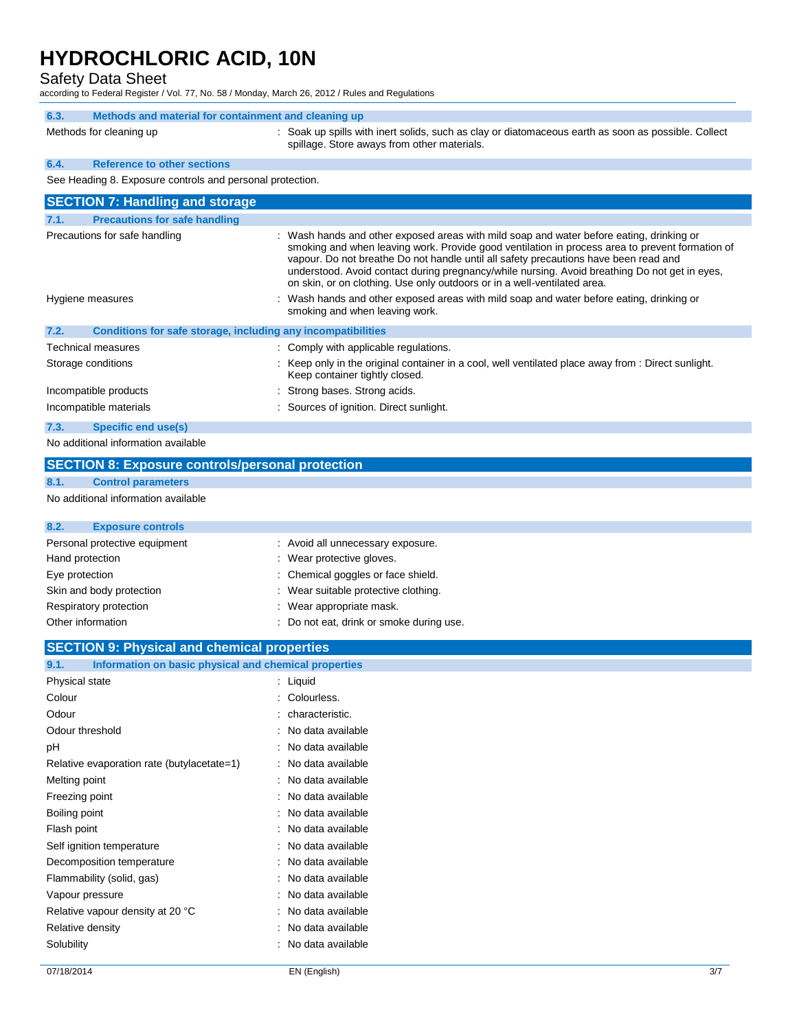Safety Data Sheet

according to Federal Register / Vol. 77, No. 58 / Monday, March 26, 2012 / Rules and Regulations

| 6.3. | Methods and material for containment and cleaning up      |                                                                                                                                                    |
|------|-----------------------------------------------------------|----------------------------------------------------------------------------------------------------------------------------------------------------|
|      | Methods for cleaning up                                   | : Soak up spills with inert solids, such as clay or diatomaceous earth as soon as possible. Collect<br>spillage. Store aways from other materials. |
| 6.4  | <b>Reference to other sections</b>                        |                                                                                                                                                    |
|      | See Heading 8. Exposure controls and personal protection. |                                                                                                                                                    |
|      | <b>SECTION 7: Handling and storage</b>                    |                                                                                                                                                    |

| 7.1.<br><b>Precautions for safe handling</b> |                                                                                                                                                                                                                                                                                                                                                                                                                                                                  |
|----------------------------------------------|------------------------------------------------------------------------------------------------------------------------------------------------------------------------------------------------------------------------------------------------------------------------------------------------------------------------------------------------------------------------------------------------------------------------------------------------------------------|
| Precautions for safe handling                | : Wash hands and other exposed areas with mild soap and water before eating, drinking or<br>smoking and when leaving work. Provide good ventilation in process area to prevent formation of<br>vapour. Do not breathe Do not handle until all safety precautions have been read and<br>understood. Avoid contact during pregnancy/while nursing. Avoid breathing Do not get in eyes,<br>on skin, or on clothing. Use only outdoors or in a well-ventilated area. |
| Hygiene measures                             | : Wash hands and other exposed areas with mild soap and water before eating, drinking or<br>smoking and when leaving work.                                                                                                                                                                                                                                                                                                                                       |
| 7.2.                                         | Conditions for safe storage, including any incompatibilities                                                                                                                                                                                                                                                                                                                                                                                                     |
| Technical measures                           | : Comply with applicable regulations.                                                                                                                                                                                                                                                                                                                                                                                                                            |
| Storage conditions                           | : Keep only in the original container in a cool, well ventilated place away from : Direct sunlight.<br>Keep container tightly closed.                                                                                                                                                                                                                                                                                                                            |
| Incompatible products                        | : Strong bases. Strong acids.                                                                                                                                                                                                                                                                                                                                                                                                                                    |
| Incompatible materials                       | : Sources of ignition. Direct sunlight.                                                                                                                                                                                                                                                                                                                                                                                                                          |
| 7.3.<br>Specific end use(s)                  |                                                                                                                                                                                                                                                                                                                                                                                                                                                                  |

No additional information available

### **SECTION 8: Exposure controls/personal protection 8.1. Control parameters** No additional information available **8.2. Exposure controls**

| Personal protective equipment | : Avoid all unnecessary exposure.        |
|-------------------------------|------------------------------------------|
| Hand protection               | : Wear protective gloves.                |
| Eye protection                | : Chemical goggles or face shield.       |
| Skin and body protection      | : Wear suitable protective clothing.     |
| Respiratory protection        | : Wear appropriate mask.                 |
| Other information             | : Do not eat, drink or smoke during use. |

|     | <b>SECTION 9: Physical and chemical properties</b>    |
|-----|-------------------------------------------------------|
| 9.1 | Information on basic physical and chemical properties |

| <b>INTO MODE OF BUSIC PHYSICAL AND CHUMBAL PLOPULACE</b> |                   |
|----------------------------------------------------------|-------------------|
| Physical state                                           | : Liquid          |
| Colour                                                   | Colourless.       |
| Odour                                                    | characteristic.   |
| Odour threshold                                          | No data available |
| рH                                                       | No data available |
| Relative evaporation rate (butylacetate=1)               | No data available |
| Melting point                                            | No data available |
| Freezing point                                           | No data available |
| Boiling point                                            | No data available |
| Flash point                                              | No data available |
| Self ignition temperature                                | No data available |
| Decomposition temperature                                | No data available |
| Flammability (solid, gas)                                | No data available |
| Vapour pressure                                          | No data available |
| Relative vapour density at 20 °C                         | No data available |
| Relative density                                         | No data available |
| Solubility                                               | No data available |
|                                                          |                   |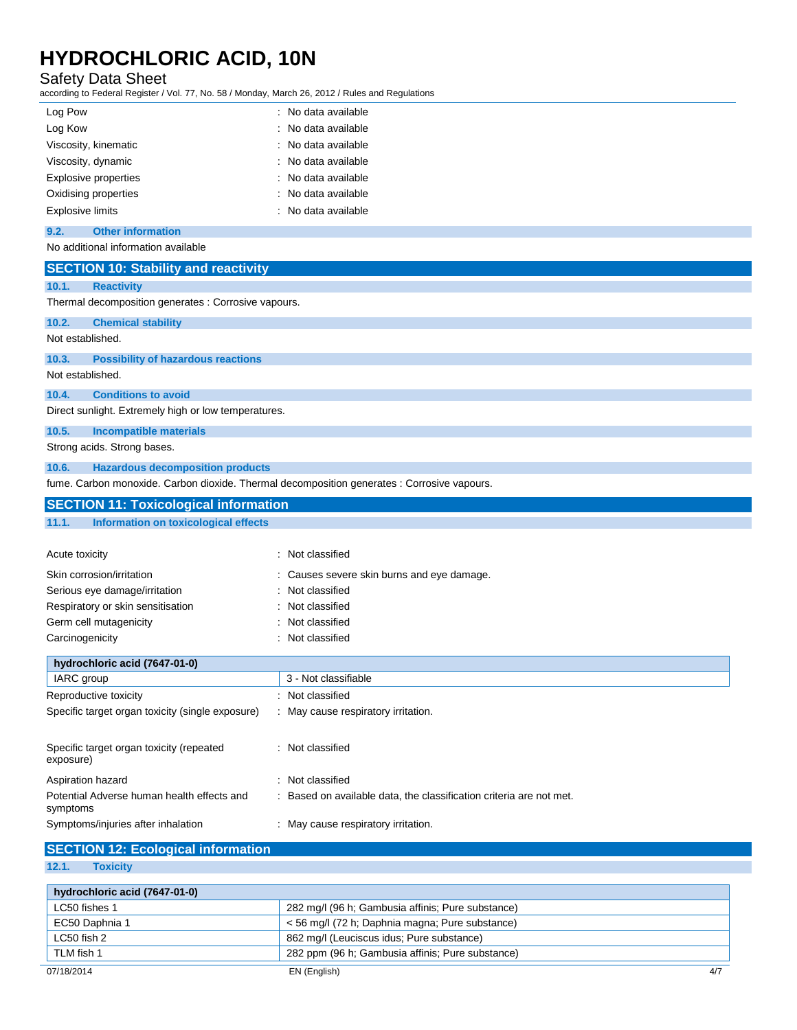#### Safety Data Sheet

according to Federal Register / Vol. 77, No. 58 / Monday, March 26, 2012 / Rules and Regulations

| Log Pow                 | : No data available |  |
|-------------------------|---------------------|--|
| Log Kow                 | : No data available |  |
| Viscosity, kinematic    | : No data available |  |
| Viscosity, dynamic      | : No data available |  |
| Explosive properties    | : No data available |  |
| Oxidising properties    | : No data available |  |
| <b>Explosive limits</b> | : No data available |  |
|                         |                     |  |

#### **9.2. Other information**

No additional information available

| <b>SECTION 10: Stability and reactivity</b>                                                 |                                                                     |
|---------------------------------------------------------------------------------------------|---------------------------------------------------------------------|
|                                                                                             |                                                                     |
| 10.1.<br><b>Reactivity</b>                                                                  |                                                                     |
| Thermal decomposition generates : Corrosive vapours.                                        |                                                                     |
| 10.2.<br><b>Chemical stability</b>                                                          |                                                                     |
| Not established.                                                                            |                                                                     |
| 10.3.<br><b>Possibility of hazardous reactions</b>                                          |                                                                     |
| Not established.                                                                            |                                                                     |
| <b>Conditions to avoid</b><br>10.4.                                                         |                                                                     |
| Direct sunlight. Extremely high or low temperatures.                                        |                                                                     |
| 10.5.<br><b>Incompatible materials</b>                                                      |                                                                     |
| Strong acids. Strong bases.                                                                 |                                                                     |
| <b>Hazardous decomposition products</b><br>10.6.                                            |                                                                     |
| fume. Carbon monoxide. Carbon dioxide. Thermal decomposition generates : Corrosive vapours. |                                                                     |
| <b>SECTION 11: Toxicological information</b>                                                |                                                                     |
| <b>Information on toxicological effects</b><br>11.1.                                        |                                                                     |
|                                                                                             |                                                                     |
| Acute toxicity                                                                              | : Not classified                                                    |
| Skin corrosion/irritation                                                                   | Causes severe skin burns and eye damage.                            |
| Serious eye damage/irritation                                                               | Not classified                                                      |
| Respiratory or skin sensitisation                                                           | Not classified                                                      |
| Germ cell mutagenicity                                                                      | Not classified                                                      |
| Carcinogenicity                                                                             | Not classified                                                      |
| hydrochloric acid (7647-01-0)                                                               |                                                                     |
| IARC group                                                                                  | 3 - Not classifiable                                                |
| Reproductive toxicity                                                                       | : Not classified                                                    |
| Specific target organ toxicity (single exposure)                                            | : May cause respiratory irritation.                                 |
|                                                                                             |                                                                     |
| Specific target organ toxicity (repeated                                                    | : Not classified                                                    |
| exposure)                                                                                   |                                                                     |
| Aspiration hazard                                                                           | : Not classified                                                    |
| Potential Adverse human health effects and<br>symptoms                                      | : Based on available data, the classification criteria are not met. |
| Symptoms/injuries after inhalation                                                          | : May cause respiratory irritation.                                 |
| <b>SECTION 12: Ecological information</b>                                                   |                                                                     |

#### **12.1. Toxicity**

| hydrochloric acid (7647-01-0) |                                                   |     |
|-------------------------------|---------------------------------------------------|-----|
| LC50 fishes 1                 | 282 mg/l (96 h; Gambusia affinis; Pure substance) |     |
| EC50 Daphnia 1                | < 56 mg/l (72 h; Daphnia magna; Pure substance)   |     |
| LC50 fish 2                   | 862 mg/l (Leuciscus idus; Pure substance)         |     |
| TLM fish 1                    | 282 ppm (96 h; Gambusia affinis; Pure substance)  |     |
| 07/18/2014                    | EN (English)                                      | 4/7 |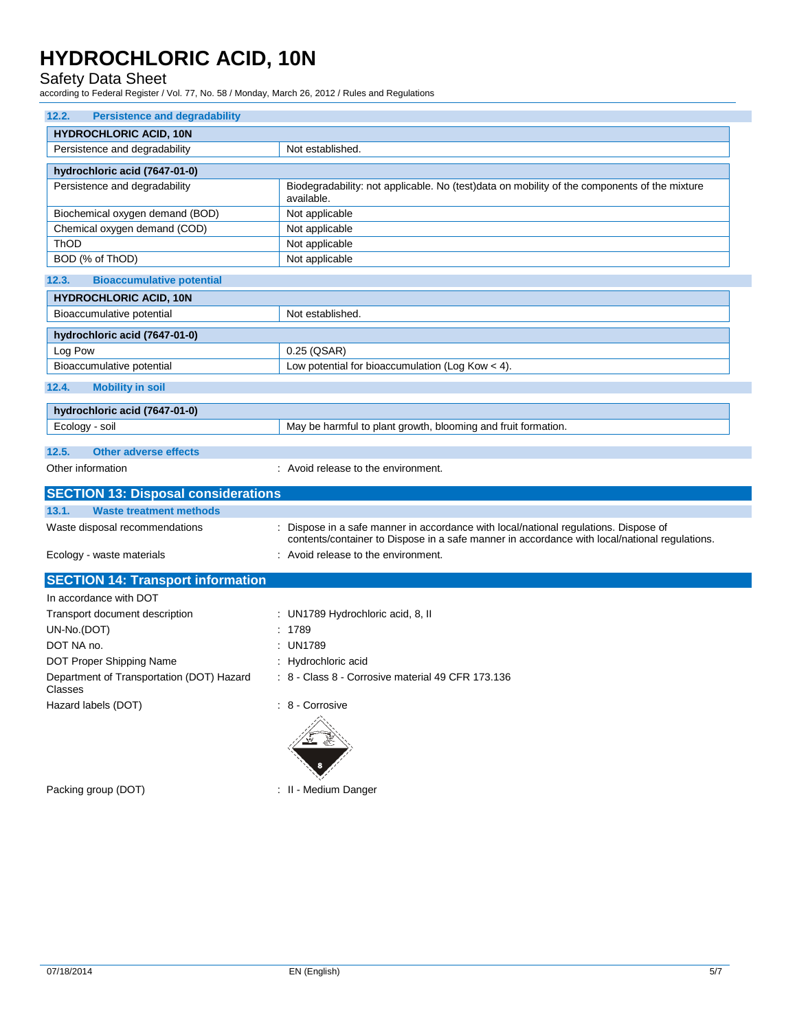Safety Data Sheet

according to Federal Register / Vol. 77, No. 58 / Monday, March 26, 2012 / Rules and Regulations

| 12.2.<br><b>Persistence and degradability</b>        |                                                                                                                                                                                       |  |
|------------------------------------------------------|---------------------------------------------------------------------------------------------------------------------------------------------------------------------------------------|--|
| <b>HYDROCHLORIC ACID, 10N</b>                        |                                                                                                                                                                                       |  |
| Persistence and degradability                        | Not established.                                                                                                                                                                      |  |
| hydrochloric acid (7647-01-0)                        |                                                                                                                                                                                       |  |
| Persistence and degradability                        | Biodegradability: not applicable. No (test)data on mobility of the components of the mixture<br>available.                                                                            |  |
| Biochemical oxygen demand (BOD)                      | Not applicable                                                                                                                                                                        |  |
| Chemical oxygen demand (COD)                         | Not applicable                                                                                                                                                                        |  |
| <b>ThOD</b>                                          | Not applicable                                                                                                                                                                        |  |
| BOD (% of ThOD)                                      | Not applicable                                                                                                                                                                        |  |
| 12.3.<br><b>Bioaccumulative potential</b>            |                                                                                                                                                                                       |  |
| <b>HYDROCHLORIC ACID, 10N</b>                        |                                                                                                                                                                                       |  |
| Bioaccumulative potential                            | Not established.                                                                                                                                                                      |  |
| hydrochloric acid (7647-01-0)                        |                                                                                                                                                                                       |  |
| Log Pow                                              | $0.25$ (QSAR)                                                                                                                                                                         |  |
| Bioaccumulative potential                            | Low potential for bioaccumulation (Log Kow $<$ 4).                                                                                                                                    |  |
| 12.4.<br><b>Mobility in soil</b>                     |                                                                                                                                                                                       |  |
| hydrochloric acid (7647-01-0)                        |                                                                                                                                                                                       |  |
| Ecology - soil                                       | May be harmful to plant growth, blooming and fruit formation.                                                                                                                         |  |
| 12.5.<br><b>Other adverse effects</b>                |                                                                                                                                                                                       |  |
| Other information                                    | : Avoid release to the environment.                                                                                                                                                   |  |
|                                                      |                                                                                                                                                                                       |  |
| <b>SECTION 13: Disposal considerations</b>           |                                                                                                                                                                                       |  |
| 13.1.<br><b>Waste treatment methods</b>              |                                                                                                                                                                                       |  |
| Waste disposal recommendations                       | : Dispose in a safe manner in accordance with local/national regulations. Dispose of<br>contents/container to Dispose in a safe manner in accordance with local/national regulations. |  |
| Ecology - waste materials                            | : Avoid release to the environment.                                                                                                                                                   |  |
| <b>SECTION 14: Transport information</b>             |                                                                                                                                                                                       |  |
| In accordance with DOT                               |                                                                                                                                                                                       |  |
| Transport document description                       | : UN1789 Hydrochloric acid, 8, II                                                                                                                                                     |  |
| UN-No.(DOT)                                          | : 1789                                                                                                                                                                                |  |
| DOT NA no.                                           | : UN1789                                                                                                                                                                              |  |
| DOT Proper Shipping Name                             | : Hydrochloric acid                                                                                                                                                                   |  |
| Department of Transportation (DOT) Hazard<br>Classes | : 8 - Class 8 - Corrosive material 49 CFR 173.136                                                                                                                                     |  |
| Hazard labels (DOT)                                  | : 8 - Corrosive                                                                                                                                                                       |  |
|                                                      |                                                                                                                                                                                       |  |

Packing group (DOT) **in the case of the COV**  $\sim$  11 - Medium Danger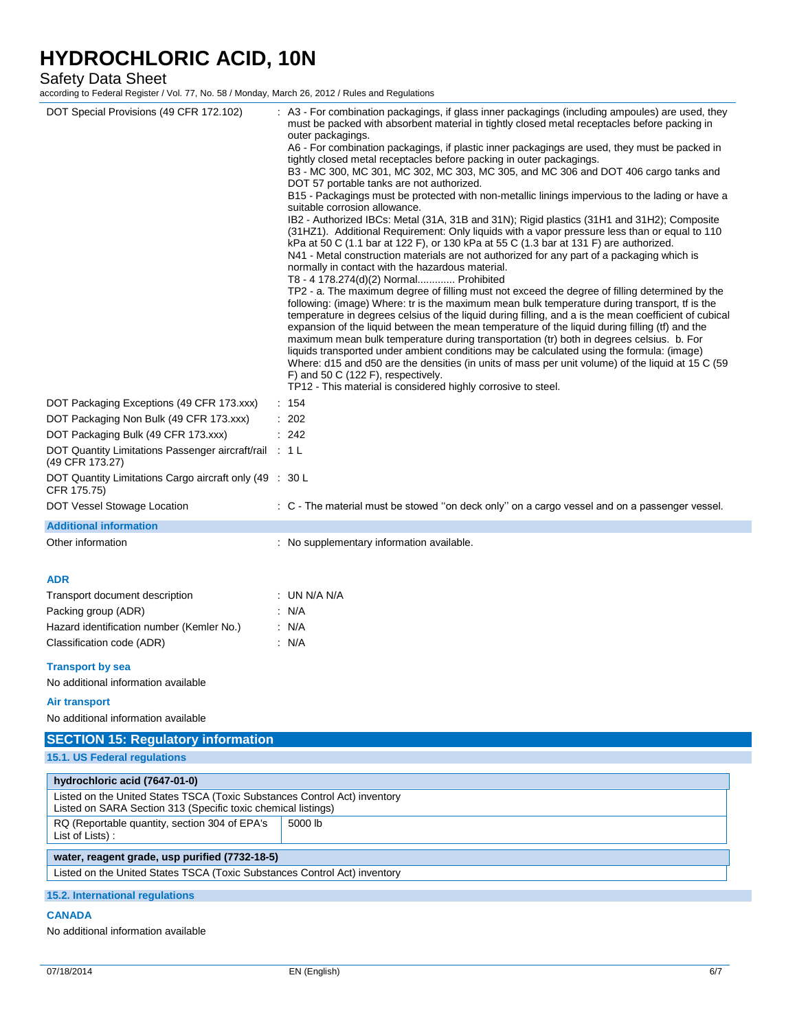#### Safety Data Sheet

according to Federal Register / Vol. 77, No. 58 / Monday, March 26, 2012 / Rules and Regulations

| DOT Special Provisions (49 CFR 172.102)                                                                                                    | : A3 - For combination packagings, if glass inner packagings (including ampoules) are used, they<br>must be packed with absorbent material in tightly closed metal receptacles before packing in<br>outer packagings.<br>A6 - For combination packagings, if plastic inner packagings are used, they must be packed in<br>tightly closed metal receptacles before packing in outer packagings.<br>B3 - MC 300, MC 301, MC 302, MC 303, MC 305, and MC 306 and DOT 406 cargo tanks and<br>DOT 57 portable tanks are not authorized.<br>B15 - Packagings must be protected with non-metallic linings impervious to the lading or have a<br>suitable corrosion allowance.<br>IB2 - Authorized IBCs: Metal (31A, 31B and 31N); Rigid plastics (31H1 and 31H2); Composite<br>(31HZ1). Additional Requirement: Only liquids with a vapor pressure less than or equal to 110<br>kPa at 50 C (1.1 bar at 122 F), or 130 kPa at 55 C (1.3 bar at 131 F) are authorized.<br>N41 - Metal construction materials are not authorized for any part of a packaging which is<br>normally in contact with the hazardous material.<br>T8 - 4 178.274(d)(2) Normal Prohibited<br>TP2 - a. The maximum degree of filling must not exceed the degree of filling determined by the<br>following: (image) Where: tr is the maximum mean bulk temperature during transport, tf is the<br>temperature in degrees celsius of the liquid during filling, and a is the mean coefficient of cubical<br>expansion of the liquid between the mean temperature of the liquid during filling (tf) and the<br>maximum mean bulk temperature during transportation (tr) both in degrees celsius. b. For<br>liquids transported under ambient conditions may be calculated using the formula: (image)<br>Where: d15 and d50 are the densities (in units of mass per unit volume) of the liquid at 15 C (59<br>F) and 50 C (122 F), respectively.<br>TP12 - This material is considered highly corrosive to steel. |  |
|--------------------------------------------------------------------------------------------------------------------------------------------|-------------------------------------------------------------------------------------------------------------------------------------------------------------------------------------------------------------------------------------------------------------------------------------------------------------------------------------------------------------------------------------------------------------------------------------------------------------------------------------------------------------------------------------------------------------------------------------------------------------------------------------------------------------------------------------------------------------------------------------------------------------------------------------------------------------------------------------------------------------------------------------------------------------------------------------------------------------------------------------------------------------------------------------------------------------------------------------------------------------------------------------------------------------------------------------------------------------------------------------------------------------------------------------------------------------------------------------------------------------------------------------------------------------------------------------------------------------------------------------------------------------------------------------------------------------------------------------------------------------------------------------------------------------------------------------------------------------------------------------------------------------------------------------------------------------------------------------------------------------------------------------------------------------------------------------------------------------------------------|--|
| DOT Packaging Exceptions (49 CFR 173.xxx)                                                                                                  | : 154                                                                                                                                                                                                                                                                                                                                                                                                                                                                                                                                                                                                                                                                                                                                                                                                                                                                                                                                                                                                                                                                                                                                                                                                                                                                                                                                                                                                                                                                                                                                                                                                                                                                                                                                                                                                                                                                                                                                                                         |  |
| DOT Packaging Non Bulk (49 CFR 173.xxx)                                                                                                    | $\therefore$ 202                                                                                                                                                                                                                                                                                                                                                                                                                                                                                                                                                                                                                                                                                                                                                                                                                                                                                                                                                                                                                                                                                                                                                                                                                                                                                                                                                                                                                                                                                                                                                                                                                                                                                                                                                                                                                                                                                                                                                              |  |
| DOT Packaging Bulk (49 CFR 173.xxx)                                                                                                        | : 242                                                                                                                                                                                                                                                                                                                                                                                                                                                                                                                                                                                                                                                                                                                                                                                                                                                                                                                                                                                                                                                                                                                                                                                                                                                                                                                                                                                                                                                                                                                                                                                                                                                                                                                                                                                                                                                                                                                                                                         |  |
| DOT Quantity Limitations Passenger aircraft/rail : 1 L                                                                                     |                                                                                                                                                                                                                                                                                                                                                                                                                                                                                                                                                                                                                                                                                                                                                                                                                                                                                                                                                                                                                                                                                                                                                                                                                                                                                                                                                                                                                                                                                                                                                                                                                                                                                                                                                                                                                                                                                                                                                                               |  |
| (49 CFR 173.27)                                                                                                                            |                                                                                                                                                                                                                                                                                                                                                                                                                                                                                                                                                                                                                                                                                                                                                                                                                                                                                                                                                                                                                                                                                                                                                                                                                                                                                                                                                                                                                                                                                                                                                                                                                                                                                                                                                                                                                                                                                                                                                                               |  |
| DOT Quantity Limitations Cargo aircraft only (49 : 30 L<br>CFR 175.75)                                                                     |                                                                                                                                                                                                                                                                                                                                                                                                                                                                                                                                                                                                                                                                                                                                                                                                                                                                                                                                                                                                                                                                                                                                                                                                                                                                                                                                                                                                                                                                                                                                                                                                                                                                                                                                                                                                                                                                                                                                                                               |  |
| DOT Vessel Stowage Location                                                                                                                | : C - The material must be stowed "on deck only" on a cargo vessel and on a passenger vessel.                                                                                                                                                                                                                                                                                                                                                                                                                                                                                                                                                                                                                                                                                                                                                                                                                                                                                                                                                                                                                                                                                                                                                                                                                                                                                                                                                                                                                                                                                                                                                                                                                                                                                                                                                                                                                                                                                 |  |
| <b>Additional information</b>                                                                                                              |                                                                                                                                                                                                                                                                                                                                                                                                                                                                                                                                                                                                                                                                                                                                                                                                                                                                                                                                                                                                                                                                                                                                                                                                                                                                                                                                                                                                                                                                                                                                                                                                                                                                                                                                                                                                                                                                                                                                                                               |  |
| Other information                                                                                                                          | : No supplementary information available.                                                                                                                                                                                                                                                                                                                                                                                                                                                                                                                                                                                                                                                                                                                                                                                                                                                                                                                                                                                                                                                                                                                                                                                                                                                                                                                                                                                                                                                                                                                                                                                                                                                                                                                                                                                                                                                                                                                                     |  |
| <b>ADR</b><br>Transport document description<br>Packing group (ADR)                                                                        | : UN N/A N/A<br>: N/A                                                                                                                                                                                                                                                                                                                                                                                                                                                                                                                                                                                                                                                                                                                                                                                                                                                                                                                                                                                                                                                                                                                                                                                                                                                                                                                                                                                                                                                                                                                                                                                                                                                                                                                                                                                                                                                                                                                                                         |  |
| Hazard identification number (Kemler No.)                                                                                                  | $\cdot$ N/A                                                                                                                                                                                                                                                                                                                                                                                                                                                                                                                                                                                                                                                                                                                                                                                                                                                                                                                                                                                                                                                                                                                                                                                                                                                                                                                                                                                                                                                                                                                                                                                                                                                                                                                                                                                                                                                                                                                                                                   |  |
| Classification code (ADR)                                                                                                                  | $\cdot$ N/A                                                                                                                                                                                                                                                                                                                                                                                                                                                                                                                                                                                                                                                                                                                                                                                                                                                                                                                                                                                                                                                                                                                                                                                                                                                                                                                                                                                                                                                                                                                                                                                                                                                                                                                                                                                                                                                                                                                                                                   |  |
| <b>Transport by sea</b>                                                                                                                    |                                                                                                                                                                                                                                                                                                                                                                                                                                                                                                                                                                                                                                                                                                                                                                                                                                                                                                                                                                                                                                                                                                                                                                                                                                                                                                                                                                                                                                                                                                                                                                                                                                                                                                                                                                                                                                                                                                                                                                               |  |
| No additional information available                                                                                                        |                                                                                                                                                                                                                                                                                                                                                                                                                                                                                                                                                                                                                                                                                                                                                                                                                                                                                                                                                                                                                                                                                                                                                                                                                                                                                                                                                                                                                                                                                                                                                                                                                                                                                                                                                                                                                                                                                                                                                                               |  |
| <b>Air transport</b><br>No additional information available                                                                                |                                                                                                                                                                                                                                                                                                                                                                                                                                                                                                                                                                                                                                                                                                                                                                                                                                                                                                                                                                                                                                                                                                                                                                                                                                                                                                                                                                                                                                                                                                                                                                                                                                                                                                                                                                                                                                                                                                                                                                               |  |
|                                                                                                                                            |                                                                                                                                                                                                                                                                                                                                                                                                                                                                                                                                                                                                                                                                                                                                                                                                                                                                                                                                                                                                                                                                                                                                                                                                                                                                                                                                                                                                                                                                                                                                                                                                                                                                                                                                                                                                                                                                                                                                                                               |  |
| <b>SECTION 15: Regulatory information</b><br>15.1. US Federal regulations                                                                  |                                                                                                                                                                                                                                                                                                                                                                                                                                                                                                                                                                                                                                                                                                                                                                                                                                                                                                                                                                                                                                                                                                                                                                                                                                                                                                                                                                                                                                                                                                                                                                                                                                                                                                                                                                                                                                                                                                                                                                               |  |
|                                                                                                                                            |                                                                                                                                                                                                                                                                                                                                                                                                                                                                                                                                                                                                                                                                                                                                                                                                                                                                                                                                                                                                                                                                                                                                                                                                                                                                                                                                                                                                                                                                                                                                                                                                                                                                                                                                                                                                                                                                                                                                                                               |  |
| hydrochloric acid (7647-01-0)                                                                                                              |                                                                                                                                                                                                                                                                                                                                                                                                                                                                                                                                                                                                                                                                                                                                                                                                                                                                                                                                                                                                                                                                                                                                                                                                                                                                                                                                                                                                                                                                                                                                                                                                                                                                                                                                                                                                                                                                                                                                                                               |  |
| Listed on the United States TSCA (Toxic Substances Control Act) inventory<br>Listed on SARA Section 313 (Specific toxic chemical listings) |                                                                                                                                                                                                                                                                                                                                                                                                                                                                                                                                                                                                                                                                                                                                                                                                                                                                                                                                                                                                                                                                                                                                                                                                                                                                                                                                                                                                                                                                                                                                                                                                                                                                                                                                                                                                                                                                                                                                                                               |  |
| RQ (Reportable quantity, section 304 of EPA's<br>List of Lists):                                                                           | 5000 lb                                                                                                                                                                                                                                                                                                                                                                                                                                                                                                                                                                                                                                                                                                                                                                                                                                                                                                                                                                                                                                                                                                                                                                                                                                                                                                                                                                                                                                                                                                                                                                                                                                                                                                                                                                                                                                                                                                                                                                       |  |
| water, reagent grade, usp purified (7732-18-5)                                                                                             |                                                                                                                                                                                                                                                                                                                                                                                                                                                                                                                                                                                                                                                                                                                                                                                                                                                                                                                                                                                                                                                                                                                                                                                                                                                                                                                                                                                                                                                                                                                                                                                                                                                                                                                                                                                                                                                                                                                                                                               |  |
| Listed on the United States TSCA (Toxic Substances Control Act) inventory                                                                  |                                                                                                                                                                                                                                                                                                                                                                                                                                                                                                                                                                                                                                                                                                                                                                                                                                                                                                                                                                                                                                                                                                                                                                                                                                                                                                                                                                                                                                                                                                                                                                                                                                                                                                                                                                                                                                                                                                                                                                               |  |
| 15.2. International regulations                                                                                                            |                                                                                                                                                                                                                                                                                                                                                                                                                                                                                                                                                                                                                                                                                                                                                                                                                                                                                                                                                                                                                                                                                                                                                                                                                                                                                                                                                                                                                                                                                                                                                                                                                                                                                                                                                                                                                                                                                                                                                                               |  |
| <b>CANADA</b>                                                                                                                              |                                                                                                                                                                                                                                                                                                                                                                                                                                                                                                                                                                                                                                                                                                                                                                                                                                                                                                                                                                                                                                                                                                                                                                                                                                                                                                                                                                                                                                                                                                                                                                                                                                                                                                                                                                                                                                                                                                                                                                               |  |
|                                                                                                                                            |                                                                                                                                                                                                                                                                                                                                                                                                                                                                                                                                                                                                                                                                                                                                                                                                                                                                                                                                                                                                                                                                                                                                                                                                                                                                                                                                                                                                                                                                                                                                                                                                                                                                                                                                                                                                                                                                                                                                                                               |  |

No additional information available